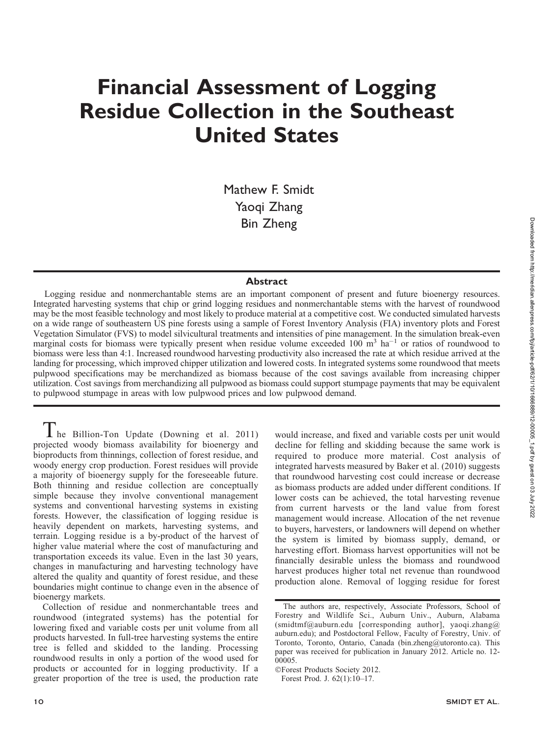# Financial Assessment of Logging Residue Collection in the Southeast United States

Mathew F. Smidt Yaoqi Zhang Bin Zheng

### **Abstract**

Logging residue and nonmerchantable stems are an important component of present and future bioenergy resources. Integrated harvesting systems that chip or grind logging residues and nonmerchantable stems with the harvest of roundwood may be the most feasible technology and most likely to produce material at a competitive cost. We conducted simulated harvests on a wide range of southeastern US pine forests using a sample of Forest Inventory Analysis (FIA) inventory plots and Forest Vegetation Simulator (FVS) to model silvicultural treatments and intensities of pine management. In the simulation break-even marginal costs for biomass were typically present when residue volume exceeded 100  $\text{m}^3$  ha<sup>-1</sup> or ratios of roundwood to biomass were less than 4:1. Increased roundwood harvesting productivity also increased the rate at which residue arrived at the landing for processing, which improved chipper utilization and lowered costs. In integrated systems some roundwood that meets pulpwood specifications may be merchandized as biomass because of the cost savings available from increasing chipper utilization. Cost savings from merchandizing all pulpwood as biomass could support stumpage payments that may be equivalent to pulpwood stumpage in areas with low pulpwood prices and low pulpwood demand.

I he Billion-Ton Update (Downing et al. 2011) projected woody biomass availability for bioenergy and bioproducts from thinnings, collection of forest residue, and woody energy crop production. Forest residues will provide a majority of bioenergy supply for the foreseeable future. Both thinning and residue collection are conceptually simple because they involve conventional management systems and conventional harvesting systems in existing forests. However, the classification of logging residue is heavily dependent on markets, harvesting systems, and terrain. Logging residue is a by-product of the harvest of higher value material where the cost of manufacturing and transportation exceeds its value. Even in the last 30 years, changes in manufacturing and harvesting technology have altered the quality and quantity of forest residue, and these boundaries might continue to change even in the absence of bioenergy markets.

Collection of residue and nonmerchantable trees and roundwood (integrated systems) has the potential for lowering fixed and variable costs per unit volume from all products harvested. In full-tree harvesting systems the entire tree is felled and skidded to the landing. Processing roundwood results in only a portion of the wood used for products or accounted for in logging productivity. If a greater proportion of the tree is used, the production rate

would increase, and fixed and variable costs per unit would decline for felling and skidding because the same work is required to produce more material. Cost analysis of integrated harvests measured by Baker et al. (2010) suggests that roundwood harvesting cost could increase or decrease as biomass products are added under different conditions. If lower costs can be achieved, the total harvesting revenue from current harvests or the land value from forest management would increase. Allocation of the net revenue to buyers, harvesters, or landowners will depend on whether the system is limited by biomass supply, demand, or harvesting effort. Biomass harvest opportunities will not be financially desirable unless the biomass and roundwood harvest produces higher total net revenue than roundwood production alone. Removal of logging residue for forest

The authors are, respectively, Associate Professors, School of Forestry and Wildlife Sci., Auburn Univ., Auburn, Alabama (smidtmf@auburn.edu [corresponding author], yaoqi.zhang@ auburn.edu); and Postdoctoral Fellow, Faculty of Forestry, Univ. of Toronto, Toronto, Ontario, Canada (bin.zheng@utoronto.ca). This paper was received for publication in January 2012. Article no. 12- 00005.

<sup>-</sup>Forest Products Society 2012.

Forest Prod. J. 62(1):10–17.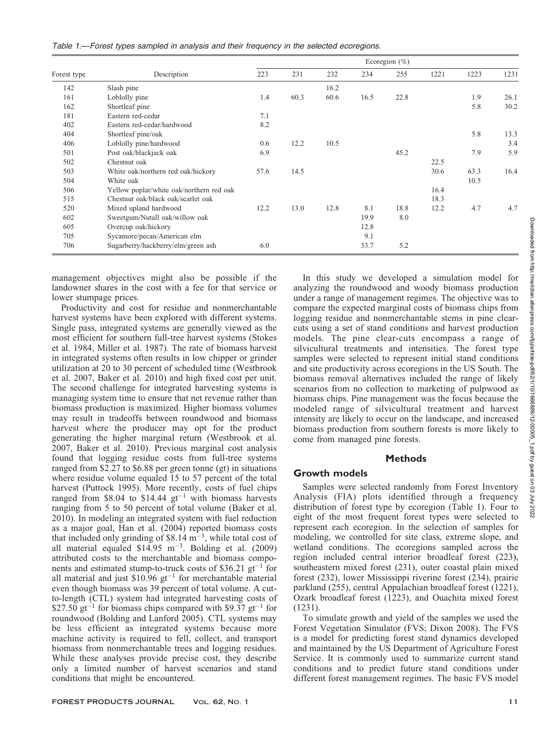|             |                                          | Ecoregion $(\%)$ |      |      |      |      |      |      |      |
|-------------|------------------------------------------|------------------|------|------|------|------|------|------|------|
| Forest type | Description                              | 223              | 231  | 232  | 234  | 255  | 1221 | 1223 | 1231 |
| 142         | Slash pine                               |                  |      | 16.2 |      |      |      |      |      |
| 161         | Loblolly pine                            | 1.4              | 60.3 | 60.6 | 16.5 | 22.8 |      | 1.9  | 26.1 |
| 162         | Shortleaf pine                           |                  |      |      |      |      |      | 5.8  | 30.2 |
| 181         | Eastern red-cedar                        | 7.1              |      |      |      |      |      |      |      |
| 402         | Eastern red-cedar/hardwood               | 8.2              |      |      |      |      |      |      |      |
| 404         | Shortleaf pine/oak                       |                  |      |      |      |      |      | 5.8  | 13.3 |
| 406         | Loblolly pine/hardwood                   | 0.6              | 12.2 | 10.5 |      |      |      |      | 3.4  |
| 501         | Post oak/blackjack oak                   | 6.9              |      |      |      | 45.2 |      | 7.9  | 5.9  |
| 502         | Chestnut oak                             |                  |      |      |      |      | 22.5 |      |      |
| 503         | White oak/northern red oak/hickory       | 57.6             | 14.5 |      |      |      | 30.6 | 63.3 | 16.4 |
| 504         | White oak                                |                  |      |      |      |      |      | 10.5 |      |
| 506         | Yellow poplar/white oak/northern red oak |                  |      |      |      |      | 16.4 |      |      |
| 515         | Chestnut oak/black oak/scarlet oak       |                  |      |      |      |      | 18.3 |      |      |
| 520         | Mixed upland hardwood                    | 12.2             | 13.0 | 12.8 | 8.1  | 18.8 | 12.2 | 4.7  | 4.7  |
| 602         | Sweetgum/Nutall oak/willow oak           |                  |      |      | 19.9 | 8.0  |      |      |      |
| 605         | Overcup oak/hickory                      |                  |      |      | 12.8 |      |      |      |      |
| 705         | Sycamore/pecan/American elm              |                  |      |      | 9.1  |      |      |      |      |
| 706         | Sugarberry/hackberry/elm/green ash       | 6.0              |      |      | 33.7 | 5.2  |      |      |      |

management objectives might also be possible if the landowner shares in the cost with a fee for that service or lower stumpage prices.

Productivity and cost for residue and nonmerchantable harvest systems have been explored with different systems. Single pass, integrated systems are generally viewed as the most efficient for southern full-tree harvest systems (Stokes et al. 1984, Miller et al. 1987). The rate of biomass harvest in integrated systems often results in low chipper or grinder utilization at 20 to 30 percent of scheduled time (Westbrook et al. 2007, Baker et al. 2010) and high fixed cost per unit. The second challenge for integrated harvesting systems is managing system time to ensure that net revenue rather than biomass production is maximized. Higher biomass volumes may result in tradeoffs between roundwood and biomass harvest where the producer may opt for the product generating the higher marginal return (Westbrook et al. 2007, Baker et al. 2010). Previous marginal cost analysis found that logging residue costs from full-tree systems ranged from \$2.27 to \$6.88 per green tonne (gt) in situations where residue volume equaled 15 to 57 percent of the total harvest (Puttock 1995). More recently, costs of fuel chips ranged from \$8.04 to \$14.44  $gt^{-1}$  with biomass harvests ranging from 5 to 50 percent of total volume (Baker et al. 2010). In modeling an integrated system with fuel reduction as a major goal, Han et al. (2004) reported biomass costs that included only grinding of \$8.14  $\text{m}^{-3}$ , while total cost of all material equaled  $$14.95 \text{ m}^{-3}$ . Bolding et al. (2009) attributed costs to the merchantable and biomass components and estimated stump-to-truck costs of \$36.21  $gt^{-1}$  for all material and just  $$10.96$  gt<sup>-1</sup> for merchantable material even though biomass was 39 percent of total volume. A cutto-length (CTL) system had integrated harvesting costs of \$27.50  $gt^{-1}$  for biomass chips compared with \$9.37  $gt^{-1}$  for roundwood (Bolding and Lanford 2005). CTL systems may be less efficient as integrated systems because more machine activity is required to fell, collect, and transport biomass from nonmerchantable trees and logging residues. While these analyses provide precise cost, they describe only a limited number of harvest scenarios and stand conditions that might be encountered.

In this study we developed a simulation model for analyzing the roundwood and woody biomass production under a range of management regimes. The objective was to compare the expected marginal costs of biomass chips from logging residue and nonmerchantable stems in pine clearcuts using a set of stand conditions and harvest production models. The pine clear-cuts encompass a range of silvicultural treatments and intensities. The forest type samples were selected to represent initial stand conditions and site productivity across ecoregions in the US South. The biomass removal alternatives included the range of likely scenarios from no collection to marketing of pulpwood as biomass chips. Pine management was the focus because the modeled range of silvicultural treatment and harvest intensity are likely to occur on the landscape, and increased biomass production from southern forests is more likely to come from managed pine forests.

## Methods

# Growth models

Samples were selected randomly from Forest Inventory Analysis (FIA) plots identified through a frequency distribution of forest type by ecoregion (Table 1). Four to eight of the most frequent forest types were selected to represent each ecoregion. In the selection of samples for modeling, we controlled for site class, extreme slope, and wetland conditions. The ecoregions sampled across the region included central interior broadleaf forest (223), southeastern mixed forest (231), outer coastal plain mixed forest (232), lower Mississippi riverine forest (234), prairie parkland (255), central Appalachian broadleaf forest (1221), Ozark broadleaf forest (1223), and Ouachita mixed forest (1231).

To simulate growth and yield of the samples we used the Forest Vegetation Simulator (FVS; Dixon 2008). The FVS is a model for predicting forest stand dynamics developed and maintained by the US Department of Agriculture Forest Service. It is commonly used to summarize current stand conditions and to predict future stand conditions under different forest management regimes. The basic FVS model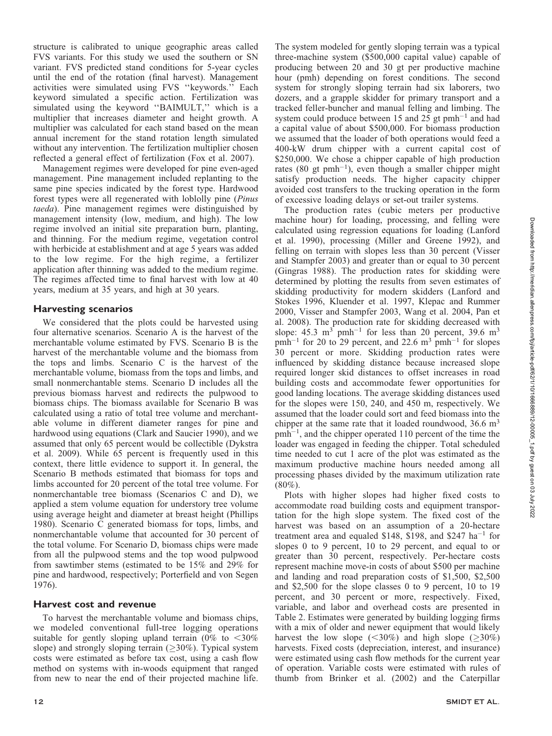structure is calibrated to unique geographic areas called FVS variants. For this study we used the southern or SN variant. FVS predicted stand conditions for 5-year cycles until the end of the rotation (final harvest). Management activities were simulated using FVS ''keywords.'' Each keyword simulated a specific action. Fertilization was simulated using the keyword ''BAIMULT,'' which is a multiplier that increases diameter and height growth. A multiplier was calculated for each stand based on the mean annual increment for the stand rotation length simulated without any intervention. The fertilization multiplier chosen reflected a general effect of fertilization (Fox et al. 2007).

Management regimes were developed for pine even-aged management. Pine management included replanting to the same pine species indicated by the forest type. Hardwood forest types were all regenerated with loblolly pine (Pinus taeda). Pine management regimes were distinguished by management intensity (low, medium, and high). The low regime involved an initial site preparation burn, planting, and thinning. For the medium regime, vegetation control with herbicide at establishment and at age 5 years was added to the low regime. For the high regime, a fertilizer application after thinning was added to the medium regime. The regimes affected time to final harvest with low at 40 years, medium at 35 years, and high at 30 years.

# Harvesting scenarios

We considered that the plots could be harvested using four alternative scenarios. Scenario A is the harvest of the merchantable volume estimated by FVS. Scenario B is the harvest of the merchantable volume and the biomass from the tops and limbs. Scenario C is the harvest of the merchantable volume, biomass from the tops and limbs, and small nonmerchantable stems. Scenario D includes all the previous biomass harvest and redirects the pulpwood to biomass chips. The biomass available for Scenario B was calculated using a ratio of total tree volume and merchantable volume in different diameter ranges for pine and hardwood using equations (Clark and Saucier 1990), and we assumed that only 65 percent would be collectible (Dykstra et al. 2009). While 65 percent is frequently used in this context, there little evidence to support it. In general, the Scenario B methods estimated that biomass for tops and limbs accounted for 20 percent of the total tree volume. For nonmerchantable tree biomass (Scenarios C and D), we applied a stem volume equation for understory tree volume using average height and diameter at breast height (Phillips 1980). Scenario C generated biomass for tops, limbs, and nonmerchantable volume that accounted for 30 percent of the total volume. For Scenario D, biomass chips were made from all the pulpwood stems and the top wood pulpwood from sawtimber stems (estimated to be 15% and 29% for pine and hardwood, respectively; Porterfield and von Segen 1976).

# Harvest cost and revenue

To harvest the merchantable volume and biomass chips, we modeled conventional full-tree logging operations suitable for gently sloping upland terrain (0% to  $<30\%$ ) slope) and strongly sloping terrain  $(\geq 30\%)$ . Typical system costs were estimated as before tax cost, using a cash flow method on systems with in-woods equipment that ranged from new to near the end of their projected machine life.

The system modeled for gently sloping terrain was a typical three-machine system (\$500,000 capital value) capable of producing between 20 and 30 gt per productive machine hour (pmh) depending on forest conditions. The second system for strongly sloping terrain had six laborers, two dozers, and a grapple skidder for primary transport and a tracked feller-buncher and manual felling and limbing. The system could produce between 15 and  $25$  gt pmh<sup>-1</sup> and had a capital value of about \$500,000. For biomass production we assumed that the loader of both operations would feed a 400-kW drum chipper with a current capital cost of \$250,000. We chose a chipper capable of high production rates (80 gt pmh<sup>-1</sup>), even though a smaller chipper might satisfy production needs. The higher capacity chipper avoided cost transfers to the trucking operation in the form of excessive loading delays or set-out trailer systems.

The production rates (cubic meters per productive machine hour) for loading, processing, and felling were calculated using regression equations for loading (Lanford et al. 1990), processing (Miller and Greene 1992), and felling on terrain with slopes less than 30 percent (Visser and Stampfer 2003) and greater than or equal to 30 percent (Gingras 1988). The production rates for skidding were determined by plotting the results from seven estimates of skidding productivity for modern skidders (Lanford and Stokes 1996, Kluender et al. 1997, Klepac and Rummer 2000, Visser and Stampfer 2003, Wang et al. 2004, Pan et al. 2008). The production rate for skidding decreased with slope: 45.3  $\text{m}^3$  pmh<sup>-1</sup> for less than 20 percent, 39.6  $\text{m}^3$  $pmh^{-1}$  for 20 to 29 percent, and 22.6 m<sup>3</sup>  $pmh^{-1}$  for slopes 30 percent or more. Skidding production rates were influenced by skidding distance because increased slope required longer skid distances to offset increases in road building costs and accommodate fewer opportunities for good landing locations. The average skidding distances used for the slopes were 150, 240, and 450 m, respectively. We assumed that the loader could sort and feed biomass into the chipper at the same rate that it loaded roundwood,  $36.6 \text{ m}^3$  $pmb<sup>-1</sup>$ , and the chipper operated 110 percent of the time the loader was engaged in feeding the chipper. Total scheduled time needed to cut 1 acre of the plot was estimated as the maximum productive machine hours needed among all processing phases divided by the maximum utilization rate  $(80\%)$ .

Plots with higher slopes had higher fixed costs to accommodate road building costs and equipment transportation for the high slope system. The fixed cost of the harvest was based on an assumption of a 20-hectare treatment area and equaled \$148,  $\hat{\text{S}}$ 198, and \$247 ha<sup>-1</sup> for slopes 0 to 9 percent, 10 to 29 percent, and equal to or greater than 30 percent, respectively. Per-hectare costs represent machine move-in costs of about \$500 per machine and landing and road preparation costs of \$1,500, \$2,500 and \$2,500 for the slope classes 0 to 9 percent, 10 to 19 percent, and 30 percent or more, respectively. Fixed, variable, and labor and overhead costs are presented in Table 2. Estimates were generated by building logging firms with a mix of older and newer equipment that would likely harvest the low slope ( $\leq 30\%$ ) and high slope ( $\geq 30\%$ ) harvests. Fixed costs (depreciation, interest, and insurance) were estimated using cash flow methods for the current year of operation. Variable costs were estimated with rules of thumb from Brinker et al. (2002) and the Caterpillar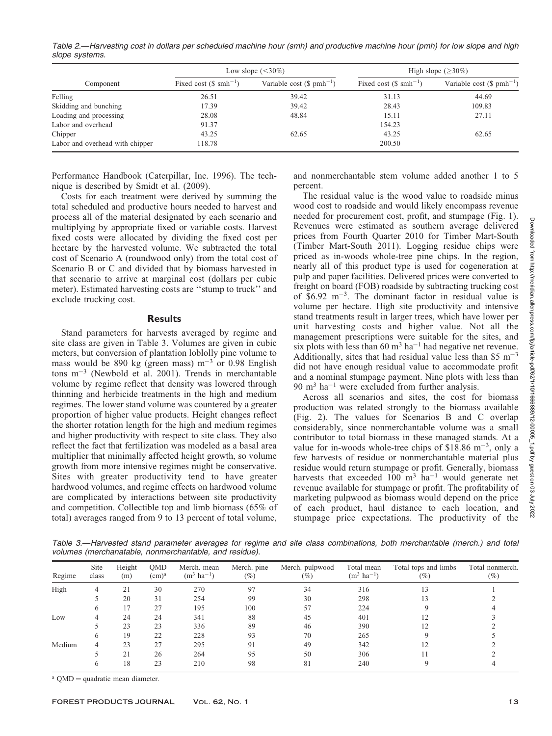Table 2.—Harvesting cost in dollars per scheduled machine hour (smh) and productive machine hour (pmh) for low slope and high slope systems.

|                                 |                                   | Low slope $(<30\%)$                  | High slope $(>30\%)$             |                                     |  |
|---------------------------------|-----------------------------------|--------------------------------------|----------------------------------|-------------------------------------|--|
| Component                       | Fixed cost $(\$ \text{smh}^{-1})$ | Variable cost $(\text{\$ pmh}^{-1})$ | Fixed cost $(\text{S smh}^{-1})$ | Variable cost $(\text{S pmh}^{-1})$ |  |
| Felling                         | 26.51                             | 39.42                                | 31.13                            | 44.69                               |  |
| Skidding and bunching           | 17.39                             | 39.42                                | 28.43                            | 109.83                              |  |
| Loading and processing          | 28.08                             | 48.84                                | 15.11                            | 27.11                               |  |
| Labor and overhead              | 91.37                             |                                      | 154.23                           |                                     |  |
| Chipper                         | 43.25                             | 62.65                                | 43.25                            | 62.65                               |  |
| Labor and overhead with chipper | 118.78                            |                                      | 200.50                           |                                     |  |

Performance Handbook (Caterpillar, Inc. 1996). The technique is described by Smidt et al. (2009).

Costs for each treatment were derived by summing the total scheduled and productive hours needed to harvest and process all of the material designated by each scenario and multiplying by appropriate fixed or variable costs. Harvest fixed costs were allocated by dividing the fixed cost per hectare by the harvested volume. We subtracted the total cost of Scenario A (roundwood only) from the total cost of Scenario B or C and divided that by biomass harvested in that scenario to arrive at marginal cost (dollars per cubic meter). Estimated harvesting costs are ''stump to truck'' and exclude trucking cost.

#### **Results**

Stand parameters for harvests averaged by regime and site class are given in Table 3. Volumes are given in cubic meters, but conversion of plantation loblolly pine volume to mass would be 890 kg (green mass)  $m^{-3}$  or 0.98 English tons m-<sup>3</sup> (Newbold et al. 2001). Trends in merchantable volume by regime reflect that density was lowered through thinning and herbicide treatments in the high and medium regimes. The lower stand volume was countered by a greater proportion of higher value products. Height changes reflect the shorter rotation length for the high and medium regimes and higher productivity with respect to site class. They also reflect the fact that fertilization was modeled as a basal area multiplier that minimally affected height growth, so volume growth from more intensive regimes might be conservative. Sites with greater productivity tend to have greater hardwood volumes, and regime effects on hardwood volume are complicated by interactions between site productivity and competition. Collectible top and limb biomass (65% of total) averages ranged from 9 to 13 percent of total volume,

and nonmerchantable stem volume added another 1 to 5 percent.

The residual value is the wood value to roadside minus wood cost to roadside and would likely encompass revenue needed for procurement cost, profit, and stumpage (Fig. 1). Revenues were estimated as southern average delivered prices from Fourth Quarter 2010 for Timber Mart-South (Timber Mart-South 2011). Logging residue chips were priced as in-woods whole-tree pine chips. In the region, nearly all of this product type is used for cogeneration at pulp and paper facilities. Delivered prices were converted to freight on board (FOB) roadside by subtracting trucking cost of \$6.92 m-3 . The dominant factor in residual value is volume per hectare. High site productivity and intensive stand treatments result in larger trees, which have lower per unit harvesting costs and higher value. Not all the management prescriptions were suitable for the sites, and six plots with less than 60  $m^3$  ha<sup>-1</sup> had negative net revenue. Additionally, sites that had residual value less than \$5  $m^{-3}$ did not have enough residual value to accommodate profit and a nominal stumpage payment. Nine plots with less than 90 m<sup>3</sup> ha<sup>-1</sup> were excluded from further analysis.

Across all scenarios and sites, the cost for biomass production was related strongly to the biomass available (Fig. 2). The values for Scenarios B and C overlap considerably, since nonmerchantable volume was a small contributor to total biomass in these managed stands. At a value for in-woods whole-tree chips of \$18.86  $\text{m}^{-3}$ , only a few harvests of residue or nonmerchantable material plus residue would return stumpage or profit. Generally, biomass harvests that exceeded  $100 \text{ m}^3$  ha<sup>-1</sup> would generate net revenue available for stumpage or profit. The profitability of marketing pulpwood as biomass would depend on the price of each product, haul distance to each location, and stumpage price expectations. The productivity of the

Table 3.—Harvested stand parameter averages for regime and site class combinations, both merchantable (merch.) and total volumes (merchanatable, nonmerchantable, and residue).

| Regime | Site<br>class | Height<br>(m) | QMD<br>(cm) <sup>a</sup> | Merch. mean<br>$(m^3 \text{ ha}^{-1})$ | Merch, pine<br>$(\%)$ | Merch. pulpwood<br>$(\%)$ | Total mean<br>$(m^3 \text{ ha}^{-1})$ | Total tops and limbs<br>$(\%)$ | Total nonmerch.<br>(%) |
|--------|---------------|---------------|--------------------------|----------------------------------------|-----------------------|---------------------------|---------------------------------------|--------------------------------|------------------------|
| High   | 4             | 21            | 30                       | 270                                    | 97                    | 34                        | 316                                   | 13                             |                        |
|        |               | 20            | 31                       | 254                                    | 99                    | 30                        | 298                                   | 13                             |                        |
|        | 6             | 17            | 27                       | 195                                    | 100                   | 57                        | 224                                   |                                |                        |
| Low    |               | 24            | 24                       | 341                                    | 88                    | 45                        | 401                                   |                                |                        |
|        |               | 23            | 23                       | 336                                    | 89                    | 46                        | 390                                   |                                |                        |
|        | <sub>(</sub>  | 19            | 22                       | 228                                    | 93                    | 70                        | 265                                   |                                |                        |
| Medium | 4             | 23            | 27                       | 295                                    | 91                    | 49                        | 342                                   |                                |                        |
|        |               | 21            | 26                       | 264                                    | 95                    | 50                        | 306                                   |                                |                        |
|        |               | 18            | 23                       | 210                                    | 98                    | 81                        | 240                                   |                                |                        |

 $a$  QMD = quadratic mean diameter.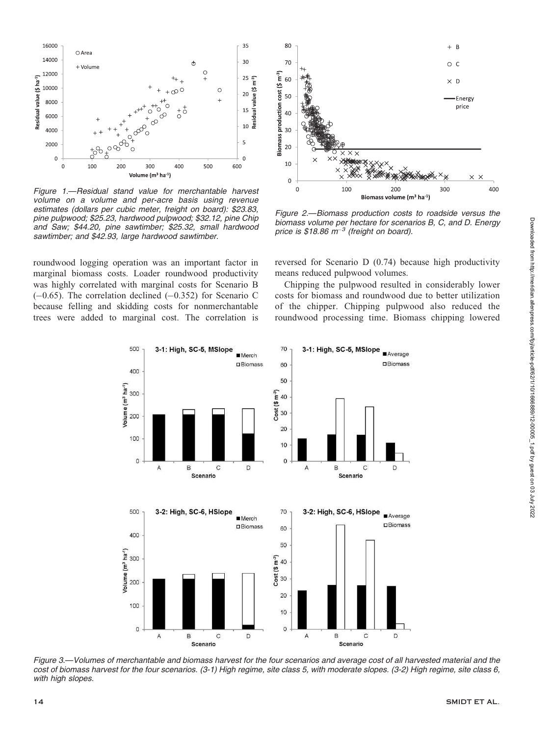

Figure 1.—Residual stand value for merchantable harvest volume on a volume and per-acre basis using revenue estimates (dollars per cubic meter, freight on board): \$23.83, pine pulpwood; \$25.23, hardwood pulpwood; \$32.12, pine Chip and Saw; \$44.20, pine sawtimber; \$25.32, small hardwood sawtimber; and \$42.93, large hardwood sawtimber.

roundwood logging operation was an important factor in marginal biomass costs. Loader roundwood productivity was highly correlated with marginal costs for Scenario B  $(-0.65)$ . The correlation declined  $(-0.352)$  for Scenario C because felling and skidding costs for nonmerchantable trees were added to marginal cost. The correlation is



Figure 2.—Biomass production costs to roadside versus the biomass volume per hectare for scenarios B, C, and D. Energy price is \$18.86  $m^{-3}$  (freight on board).

reversed for Scenario D (0.74) because high productivity means reduced pulpwood volumes.

Chipping the pulpwood resulted in considerably lower costs for biomass and roundwood due to better utilization of the chipper. Chipping pulpwood also reduced the roundwood processing time. Biomass chipping lowered



Figure 3.—Volumes of merchantable and biomass harvest for the four scenarios and average cost of all harvested material and the cost of biomass harvest for the four scenarios. (3-1) High regime, site class 5, with moderate slopes. (3-2) High regime, site class 6, with high slopes.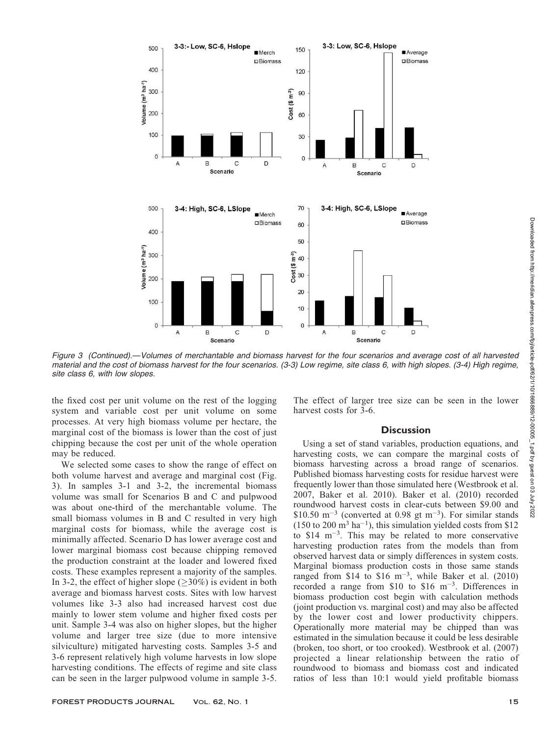

Figure 3 (Continued).—Volumes of merchantable and biomass harvest for the four scenarios and average cost of all harvested material and the cost of biomass harvest for the four scenarios. (3-3) Low regime, site class 6, with high slopes. (3-4) High regime, site class 6, with low slopes.

the fixed cost per unit volume on the rest of the logging system and variable cost per unit volume on some processes. At very high biomass volume per hectare, the marginal cost of the biomass is lower than the cost of just chipping because the cost per unit of the whole operation may be reduced.

We selected some cases to show the range of effect on both volume harvest and average and marginal cost (Fig. 3). In samples 3-1 and 3-2, the incremental biomass volume was small for Scenarios B and C and pulpwood was about one-third of the merchantable volume. The small biomass volumes in B and C resulted in very high marginal costs for biomass, while the average cost is minimally affected. Scenario D has lower average cost and lower marginal biomass cost because chipping removed the production constraint at the loader and lowered fixed costs. These examples represent a majority of the samples. In 3-2, the effect of higher slope  $(\geq 30\%)$  is evident in both average and biomass harvest costs. Sites with low harvest volumes like 3-3 also had increased harvest cost due mainly to lower stem volume and higher fixed costs per unit. Sample 3-4 was also on higher slopes, but the higher volume and larger tree size (due to more intensive silviculture) mitigated harvesting costs. Samples 3-5 and 3-6 represent relatively high volume harvests in low slope harvesting conditions. The effects of regime and site class can be seen in the larger pulpwood volume in sample 3-5.

The effect of larger tree size can be seen in the lower harvest costs for 3-6.

### **Discussion**

Using a set of stand variables, production equations, and harvesting costs, we can compare the marginal costs of biomass harvesting across a broad range of scenarios. Published biomass harvesting costs for residue harvest were frequently lower than those simulated here (Westbrook et al. 2007, Baker et al. 2010). Baker et al. (2010) recorded roundwood harvest costs in clear-cuts between \$9.00 and \$10.50  $\text{m}^{-3}$  (converted at 0.98 gt m<sup>-3</sup>). For similar stands  $(150 \text{ to } 200 \text{ m}^3 \text{ ha}^{-1})$ , this simulation yielded costs from \$12 to  $$14 \text{ m}^{-3}$ . This may be related to more conservative harvesting production rates from the models than from observed harvest data or simply differences in system costs. Marginal biomass production costs in those same stands ranged from \$14 to \$16 m<sup>-3</sup>, while Baker et al.  $(2010)$ recorded a range from  $$10$  to  $$16 \text{ m}^{-3}$ . Differences in biomass production cost begin with calculation methods (joint production vs. marginal cost) and may also be affected by the lower cost and lower productivity chippers. Operationally more material may be chipped than was estimated in the simulation because it could be less desirable (broken, too short, or too crooked). Westbrook et al. (2007) projected a linear relationship between the ratio of roundwood to biomass and biomass cost and indicated ratios of less than 10:1 would yield profitable biomass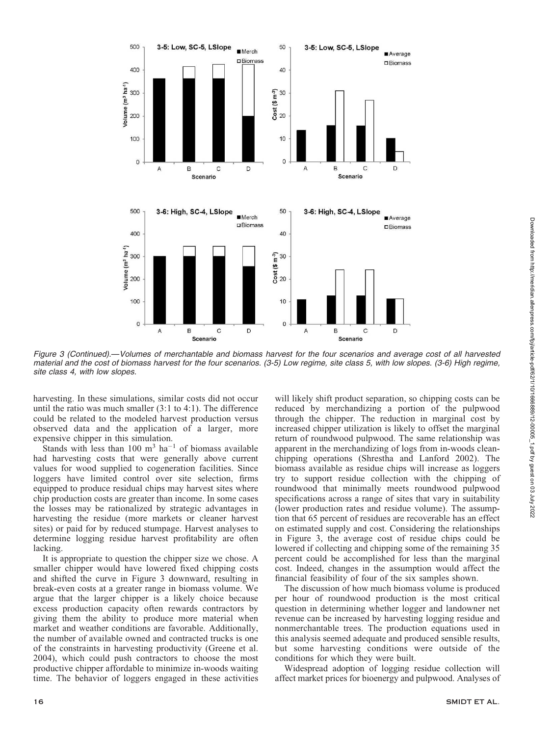

Figure 3 (Continued).—Volumes of merchantable and biomass harvest for the four scenarios and average cost of all harvested material and the cost of biomass harvest for the four scenarios. (3-5) Low regime, site class 5, with low slopes. (3-6) High regime, site class 4, with low slopes.

harvesting. In these simulations, similar costs did not occur until the ratio was much smaller (3:1 to 4:1). The difference could be related to the modeled harvest production versus observed data and the application of a larger, more expensive chipper in this simulation.

Stands with less than  $100 \text{ m}^3$  ha<sup>-1</sup> of biomass available had harvesting costs that were generally above current values for wood supplied to cogeneration facilities. Since loggers have limited control over site selection, firms equipped to produce residual chips may harvest sites where chip production costs are greater than income. In some cases the losses may be rationalized by strategic advantages in harvesting the residue (more markets or cleaner harvest sites) or paid for by reduced stumpage. Harvest analyses to determine logging residue harvest profitability are often lacking.

It is appropriate to question the chipper size we chose. A smaller chipper would have lowered fixed chipping costs and shifted the curve in Figure 3 downward, resulting in break-even costs at a greater range in biomass volume. We argue that the larger chipper is a likely choice because excess production capacity often rewards contractors by giving them the ability to produce more material when market and weather conditions are favorable. Additionally, the number of available owned and contracted trucks is one of the constraints in harvesting productivity (Greene et al. 2004), which could push contractors to choose the most productive chipper affordable to minimize in-woods waiting time. The behavior of loggers engaged in these activities will likely shift product separation, so chipping costs can be reduced by merchandizing a portion of the pulpwood through the chipper. The reduction in marginal cost by increased chipper utilization is likely to offset the marginal return of roundwood pulpwood. The same relationship was apparent in the merchandizing of logs from in-woods cleanchipping operations (Shrestha and Lanford 2002). The biomass available as residue chips will increase as loggers try to support residue collection with the chipping of roundwood that minimally meets roundwood pulpwood specifications across a range of sites that vary in suitability (lower production rates and residue volume). The assumption that 65 percent of residues are recoverable has an effect on estimated supply and cost. Considering the relationships in Figure 3, the average cost of residue chips could be lowered if collecting and chipping some of the remaining 35 percent could be accomplished for less than the marginal cost. Indeed, changes in the assumption would affect the financial feasibility of four of the six samples shown.

The discussion of how much biomass volume is produced per hour of roundwood production is the most critical question in determining whether logger and landowner net revenue can be increased by harvesting logging residue and nonmerchantable trees. The production equations used in this analysis seemed adequate and produced sensible results, but some harvesting conditions were outside of the conditions for which they were built.

Widespread adoption of logging residue collection will affect market prices for bioenergy and pulpwood. Analyses of